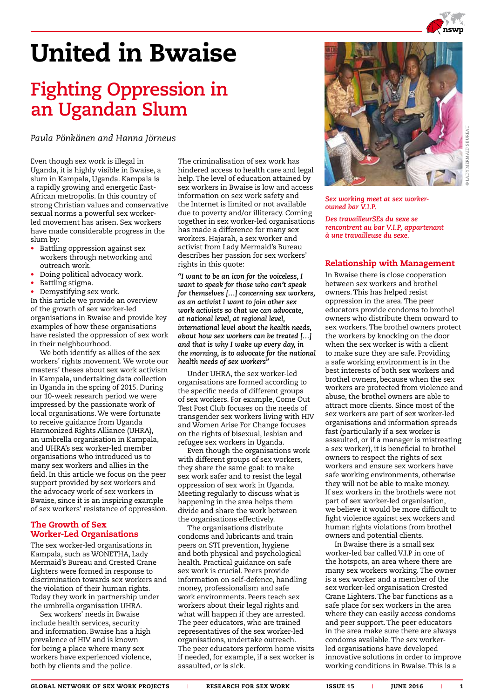# United in Bwaise

# **Fighting Oppression in an Ugandan Slum**

# *Paula Pönkänen and Hanna Jörneus*

Even though sex work is illegal in Uganda, it is highly visible in Bwaise, a slum in Kampala, Uganda. Kampala is a rapidly growing and energetic East-African metropolis. In this country of strong Christian values and conservative sexual norms a powerful sex workerled movement has arisen. Sex workers have made considerable progress in the slum by:

- Battling oppression against sex workers through networking and outreach work.
- Doing political advocacy work.
- Battling stigma.
- Demystifying sex work.

In this article we provide an overview of the growth of sex worker-led organisations in Bwaise and provide key examples of how these organisations have resisted the oppression of sex work in their neighbourhood.

We both identify as allies of the sex workers' rights movement. We wrote our masters' theses about sex work activism in Kampala, undertaking data collection in Uganda in the spring of 2015. During our 10-week research period we were impressed by the passionate work of local organisations. We were fortunate to receive guidance from Uganda Harmonized Rights Alliance (UHRA), an umbrella organisation in Kampala, and UHRA's sex worker-led member organisations who introduced us to many sex workers and allies in the field. In this article we focus on the peer support provided by sex workers and the advocacy work of sex workers in Bwaise, since it is an inspiring example of sex workers' resistance of oppression.

## The Growth of Sex Worker-Led Organisations

The sex worker-led organisations in Kampala, such as WONETHA, Lady Mermaid's Bureau and Crested Crane Lighters were formed in response to discrimination towards sex workers and the violation of their human rights. Today they work in partnership under the umbrella organisation UHRA.

Sex workers' needs in Bwaise include health services, security and information. Bwaise has a high prevalence of HIV and is known for being a place where many sex workers have experienced violence, both by clients and the police.

The criminalisation of sex work has hindered access to health care and legal help. The level of education attained by sex workers in Bwaise is low and access information on sex work safety and the Internet is limited or not available due to poverty and/or illiteracy. Coming together in sex worker-led organisations has made a difference for many sex workers. Hajarah, a sex worker and activist from Lady Mermaid's Bureau describes her passion for sex workers' rights in this quote:

*"I want to be an icon for the voiceless, I want to speak for those who can't speak for themselves […] concerning sex workers, as an activist I want to join other sex work activists so that we can advocate, at national level, at regional level, international level about the health needs, about how sex workers can be treated […] and that is why I wake up every day, in the morning, is to advocate for the national health needs of sex workers"* 

Under UHRA, the sex worker-led organisations are formed according to the specific needs of different groups of sex workers. For example, Come Out Test Post Club focuses on the needs of transgender sex workers living with HIV and Women Arise For Change focuses on the rights of bisexual, lesbian and refugee sex workers in Uganda.

Even though the organisations work with different groups of sex workers, they share the same goal: to make sex work safer and to resist the legal oppression of sex work in Uganda. Meeting regularly to discuss what is happening in the area helps them divide and share the work between the organisations effectively.

The organisations distribute condoms and lubricants and train peers on STI prevention, hygiene and both physical and psychological health. Practical guidance on safe sex work is crucial. Peers provide information on self-defence, handling money, professionalism and safe work environments. Peers teach sex workers about their legal rights and what will happen if they are arrested. The peer educators, who are trained representatives of the sex worker-led organisations, undertake outreach. The peer educators perform home visits if needed, for example, if a sex worker is assaulted, or is sick.



*Sex working meet at sex workerowned bar V.I.P.*

*Des travailleurSEs du sexe se rencontrent au bar V.I.P, appartenant à une travailleuse du sexe.*

### Relationship with Management

In Bwaise there is close cooperation between sex workers and brothel owners. This has helped resist oppression in the area. The peer educators provide condoms to brothel owners who distribute them onward to sex workers. The brothel owners protect the workers by knocking on the door when the sex worker is with a client to make sure they are safe. Providing a safe working environment is in the best interests of both sex workers and brothel owners, because when the sex workers are protected from violence and abuse, the brothel owners are able to attract more clients. Since most of the sex workers are part of sex worker-led organisations and information spreads fast (particularly if a sex worker is assaulted, or if a manager is mistreating a sex worker), it is beneficial to brothel owners to respect the rights of sex workers and ensure sex workers have safe working environments, otherwise they will not be able to make money. If sex workers in the brothels were not part of sex worker-led organisation, we believe it would be more difficult to fight violence against sex workers and human rights violations from brothel owners and potential clients.

In Bwaise there is a small sex worker-led bar called V.I.P in one of the hotspots, an area where there are many sex workers working. The owner is a sex worker and a member of the sex worker-led organisation Crested Crane Lighters. The bar functions as a safe place for sex workers in the area where they can easily access condoms and peer support. The peer educators in the area make sure there are always condoms available. The sex workerled organisations have developed innovative solutions in order to improve working conditions in Bwaise. This is a

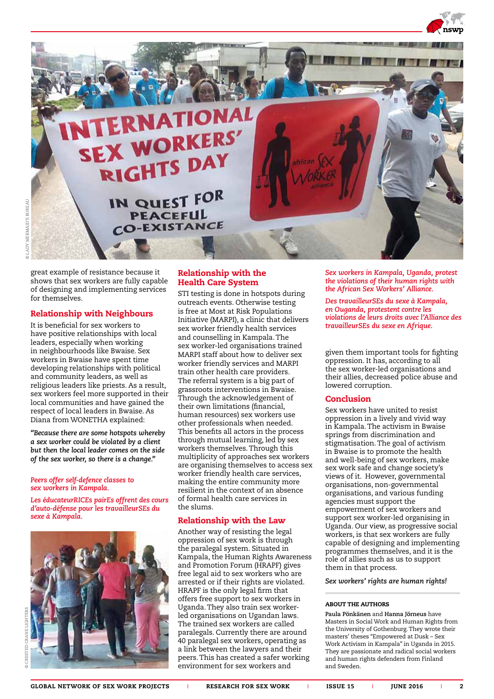

great example of resistance because it shows that sex workers are fully capable of designing and implementing services for themselves.

### Relationship with Neighbours

It is beneficial for sex workers to have positive relationships with local leaders, especially when working in neighbourhoods like Bwaise. Sex workers in Bwaise have spent time developing relationships with political and community leaders, as well as religious leaders like priests. As a result, sex workers feel more supported in their local communities and have gained the respect of local leaders in Bwaise. As Diana from WONETHA explained:

*"Because there are some hotspots whereby a sex worker could be violated by a client but then the local leader comes on the side of the sex worker, so there is a change."* 

### *Peers offer self-defence classes to sex workers in Kampala.*

*Les éducateurRICEs pairEs offrent des cours d'auto-défense pour les travailleurSEs du sexe à Kampala.*



### Relationship with the Health Care System

STI testing is done in hotspots during outreach events. Otherwise testing is free at Most at Risk Populations Initiative (MARPI), a clinic that delivers sex worker friendly health services and counselling in Kampala. The sex worker-led organisations trained MARPI staff about how to deliver sex worker friendly services and MARPI train other health care providers. The referral system is a big part of grassroots interventions in Bwaise. Through the acknowledgement of their own limitations (financial, human resources) sex workers use other professionals when needed. This benefits all actors in the process through mutual learning, led by sex workers themselves. Through this multiplicity of approaches sex workers are organising themselves to access sex worker friendly health care services, making the entire community more resilient in the context of an absence of formal health care services in the slums.

### Relationship with the Law

Another way of resisting the legal oppression of sex work is through the paralegal system. Situated in Kampala, the Human Rights Awareness and Promotion Forum (HRAPF) gives free legal aid to sex workers who are arrested or if their rights are violated. HRAPF is the only legal firm that offers free support to sex workers in Uganda. They also train sex workerled organisations on Ugandan laws. The trained sex workers are called paralegals. Currently there are around 40 paralegal sex workers, operating as a link between the lawyers and their peers. This has created a safer working environment for sex workers and

*Sex workers in Kampala, Uganda, protest the violations of their human rights with the African Sex Workers' Alliance.*

*Des travailleurSEs du sexe à Kampala, en Ouganda, protestent contre les violations de leurs droits avec l'Alliance des travailleurSEs du sexe en Afrique.*

given them important tools for fighting oppression. It has, according to all the sex worker-led organisations and their allies, decreased police abuse and lowered corruption.

### Conclusion

Sex workers have united to resist oppression in a lively and vivid way in Kampala. The activism in Bwaise springs from discrimination and stigmatisation. The goal of activism in Bwaise is to promote the health and well-being of sex workers, make sex work safe and change society's views of it. However, governmental organisations, non-governmental organisations, and various funding agencies must support the empowerment of sex workers and support sex worker-led organising in Uganda. Our view, as progressive social workers, is that sex workers are fully capable of designing and implementing programmes themselves, and it is the role of allies such as us to support them in that process.

*Sex workers' rights are human rights!*

#### ABOUT THE AUTHORS

**Paula Pönkänen** and **Hanna Jörneus** have Masters in Social Work and Human Rights from the University of Gothenburg. They wrote their masters' theses "Empowered at Dusk – Sex Work Activism in Kampala" in Uganda in 2015. They are passionate and radical social workers and human rights defenders from Finland and Sweden.

GLOBAL NETWORK OF SEX WORK PROJECTS | RESEARCH FOR SEX WORK | ISSUE 15 | JUNE 2016 | 2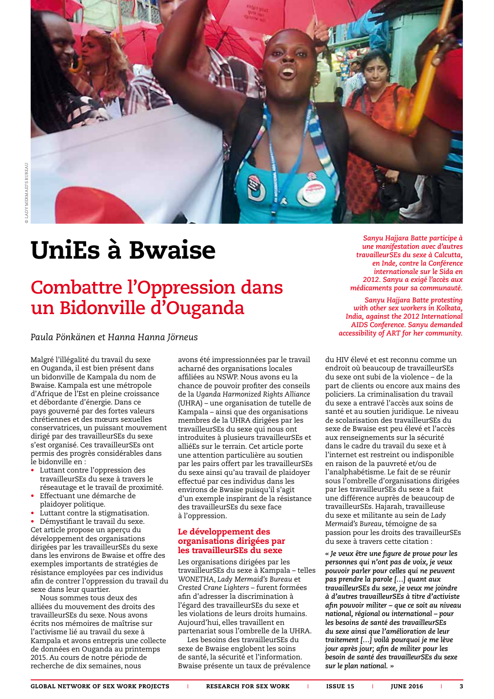

# UniEs à Bwaise

# **Combattre l'Oppression dans un Bidonville d'Ouganda**

### *Paula Pönkänen et Hanna Hanna Jörneus*

Malgré l'illégalité du travail du sexe en Ouganda, il est bien présent dans un bidonville de Kampala du nom de Bwaise. Kampala est une métropole d'Afrique de l'Est en pleine croissance et débordante d'énergie. Dans ce pays gouverné par des fortes valeurs chrétiennes et des mœurs sexuelles conservatrices, un puissant mouvement dirigé par des travailleurSEs du sexe s'est organisé. Ces travailleurSEs ont permis des progrès considérables dans le bidonville en :

- Luttant contre l'oppression des travailleurSEs du sexe à travers le réseautage et le travail de proximité.
- Effectuant une démarche de plaidoyer politique.
- Luttant contre la stigmatisation.
- Démystifiant le travail du sexe.

Cet article propose un aperçu du développement des organisations dirigées par les travailleurSEs du sexe dans les environs de Bwaise et offre des exemples importants de stratégies de résistance employées par ces individus afin de contrer l'oppression du travail du sexe dans leur quartier.

Nous sommes tous deux des alliées du mouvement des droits des travailleurSEs du sexe. Nous avons écrits nos mémoires de maîtrise sur l'activisme lié au travail du sexe à Kampala et avons entrepris une collecte de données en Ouganda au printemps 2015. Au cours de notre période de recherche de dix semaines, nous

avons été impressionnées par le travail acharné des organisations locales affiliées au NSWP. Nous avons eu la chance de pouvoir profiter des conseils de la *Uganda Harmonized Rights Alliance* (UHRA) – une organisation de tutelle de Kampala – ainsi que des organisations membres de la UHRA dirigées par les travailleurSEs du sexe qui nous ont introduites à plusieurs travailleurSEs et alliéEs sur le terrain. Cet article porte une attention particulière au soutien par les pairs offert par les travailleurSEs du sexe ainsi qu'au travail de plaidoyer effectué par ces individus dans les environs de Bwaise puisqu'il s'agit d'un exemple inspirant de la résistance des travailleurSEs du sexe face à l'oppression.

### Le développement des organisations dirigées par les travailleurSEs du sexe

Les organisations dirigées par les travailleurSEs du sexe à Kampala – telles *WONETHA*, *Lady Mermaid's Bureau* et *Crested Crane Lighters* – furent formées afin d'adresser la discrimination à l'égard des travailleurSEs du sexe et les violations de leurs droits humains. Aujourd'hui, elles travaillent en partenariat sous l'ombrelle de la UHRA.

Les besoins des travailleurSEs du sexe de Bwaise englobent les soins de santé, la sécurité et l'information. Bwaise présente un taux de prévalence

*Sanyu Hajjara Batte participe à une manifestation avec d'autres travailleurSEs du sexe à Calcutta, en Inde, contre la Conférence internationale sur le Sida en 2012. Sanyu a exigé l'accès aux médicaments pour sa communauté.* 

*Sanyu Hajjara Batte protesting with other sex workers in Kolkata, India, against the 2012 International AIDS Conference. Sanyu demanded accessibility of ART for her community.*

du HIV élevé et est reconnu comme un endroit où beaucoup de travailleurSEs du sexe ont subi de la violence – de la part de clients ou encore aux mains des policiers. La criminalisation du travail du sexe a entravé l'accès aux soins de santé et au soutien juridique. Le niveau de scolarisation des travailleurSEs du sexe de Bwaise est peu élevé et l'accès aux renseignements sur la sécurité dans le cadre du travail du sexe et à l'internet est restreint ou indisponible en raison de la pauvreté et/ou de l'analphabétisme. Le fait de se réunir sous l'ombrelle d'organisations dirigées par les travailleurSEs du sexe a fait une différence auprès de beaucoup de travailleurSEs. Hajarah, travailleuse du sexe et militante au sein de *Lady Mermaid's Bureau*, témoigne de sa passion pour les droits des travailleurSEs du sexe à travers cette citation :

*« Je veux être une figure de proue pour les personnes qui n'ont pas de voix, je veux pouvoir parler pour celles qui ne peuvent pas prendre la parole […] quant aux travailleurSEs du sexe, je veux me joindre à d'autres travailleurSEs à titre d'activiste afin pouvoir militer – que ce soit au niveau national, régional ou international – pour les besoins de santé des travailleurSEs du sexe ainsi que l'amélioration de leur traitement […] voilà pourquoi je me lève jour après jour; afin de militer pour les besoin de santé des travailleurSEs du sexe sur le plan national. »*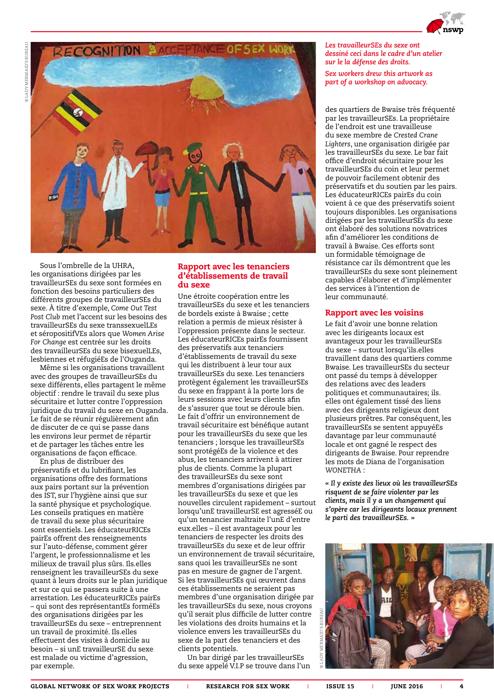

Sous l'ombrelle de la UHRA, les organisations dirigées par les travailleurSEs du sexe sont formées en fonction des besoins particuliers des différents groupes de travailleurSEs du sexe. À titre d'exemple, *Come Out Test Post Club* met l'accent sur les besoins des travailleurSEs du sexe transsexuelLEs et séropositifVEs alors que *Women Arise For Change* est centrée sur les droits des travailleurSEs du sexe bisexuelLEs, lesbiennes et réfugiéEs de l'Ouganda.

Même si les organisations travaillent avec des groupes de travailleurSEs du sexe différents, elles partagent le même objectif : rendre le travail du sexe plus sécuritaire et lutter contre l'oppression juridique du travail du sexe en Ouganda. Le fait de se réunir régulièrement afin de discuter de ce qui se passe dans les environs leur permet de répartir et de partager les tâches entre les organisations de façon efficace.

En plus de distribuer des préservatifs et du lubrifiant, les organisations offre des formations aux pairs portant sur la prévention des IST, sur l'hygiène ainsi que sur la santé physique et psychologique. Les conseils pratiques en matière de travail du sexe plus sécuritaire sont essentiels. Les éducateurRICEs pairEs offrent des renseignements sur l'auto-défense, comment gérer l'argent, le professionnalisme et les milieux de travail plus sûrs. Ils.elles renseignent les travailleurSEs du sexe quant à leurs droits sur le plan juridique et sur ce qui se passera suite à une arrestation. Les éducateurRICEs pairEs – qui sont des représentantEs forméEs des organisations dirigées par les travailleurSEs du sexe – entreprennent un travail de proximité. Ils.elles effectuent des visites à domicile au besoin – si unE travailleurSE du sexe est malade ou victime d'agression, par exemple.

### Rapport avec les tenanciers d'établissements de travail du sexe

Une étroite coopération entre les travailleurSEs du sexe et les tenanciers de bordels existe à Bwaise ; cette relation a permis de mieux résister à l'oppression présente dans le secteur. Les éducateurRICEs pairEs fournissent des préservatifs aux tenanciers d'établissements de travail du sexe qui les distribuent à leur tour aux travailleurSEs du sexe. Les tenanciers protègent également les travailleurSEs du sexe en frappant à la porte lors de leurs sessions avec leurs clients afin de s'assurer que tout se déroule bien. Le fait d'offrir un environnement de travail sécuritaire est bénéfique autant pour les travailleurSEs du sexe que les tenanciers ; lorsque les travailleurSEs sont protégéEs de la violence et des abus, les tenanciers arrivent à attirer plus de clients. Comme la plupart des travailleurSEs du sexe sont membres d'organisations dirigées par les travailleurSEs du sexe et que les nouvelles circulent rapidement – surtout lorsqu'unE travailleurSE est agresséE ou qu'un tenancier maltraite l'unE d'entre eux.elles – il est avantageux pour les tenanciers de respecter les droits des travailleurSEs du sexe et de leur offrir un environnement de travail sécuritaire, sans quoi les travailleurSEs ne sont pas en mesure de gagner de l'argent. Si les travailleurSEs qui œuvrent dans ces établissements ne seraient pas membres d'une organisation dirigée par les travailleurSEs du sexe, nous croyons qu'il serait plus difficile de lutter contre les violations des droits humains et la violence envers les travailleurSEs du sexe de la part des tenanciers et des clients potentiels.

Un bar dirigé par les travailleurSEs du sexe appelé V.I.P se trouve dans l'un

#### *Les travailleurSEs du sexe ont dessiné ceci dans le cadre d'un atelier sur le la défense des droits.*

*Sex workers drew this artwork as part of a workshop on advocacy.* 

des quartiers de Bwaise très fréquenté par les travailleurSEs. La propriétaire de l'endroit est une travailleuse du sexe membre de *Crested Crane Lighters*, une organisation dirigée par les travailleurSEs du sexe. Le bar fait office d'endroit sécuritaire pour les travailleurSEs du coin et leur permet de pouvoir facilement obtenir des préservatifs et du soutien par les pairs. Les éducateurRICEs pairEs du coin voient à ce que des préservatifs soient toujours disponibles. Les organisations dirigées par les travailleurSEs du sexe ont élaboré des solutions novatrices afin d'améliorer les conditions de travail à Bwaise. Ces efforts sont un formidable témoignage de résistance car ils démontrent que les travailleurSEs du sexe sont pleinement capables d'élaborer et d'implémenter des services à l'intention de leur communauté.

## Rapport avec les voisins

Le fait d'avoir une bonne relation avec les dirigeants locaux est avantageux pour les travailleurSEs du sexe – surtout lorsqu'ils.elles travaillent dans des quartiers comme Bwaise. Les travailleurSEs du secteur ont passé du temps à développer des relations avec des leaders politiques et communautaires; ils. elles ont également tissé des liens avec des dirigeants religieux dont plusieurs prêtres. Par conséquent, les travailleurSEs se sentent appuyéEs davantage par leur communauté locale et ont gagné le respect des dirigeants de Bwaise. Pour reprendre les mots de Diana de l'organisation *WONETHA* :

*« Il y existe des lieux où les travailleurSEs risquent de se faire violenter par les clients, mais il y a un changement qui s'opère car les dirigeants locaux prennent le parti des travailleurSEs. »*